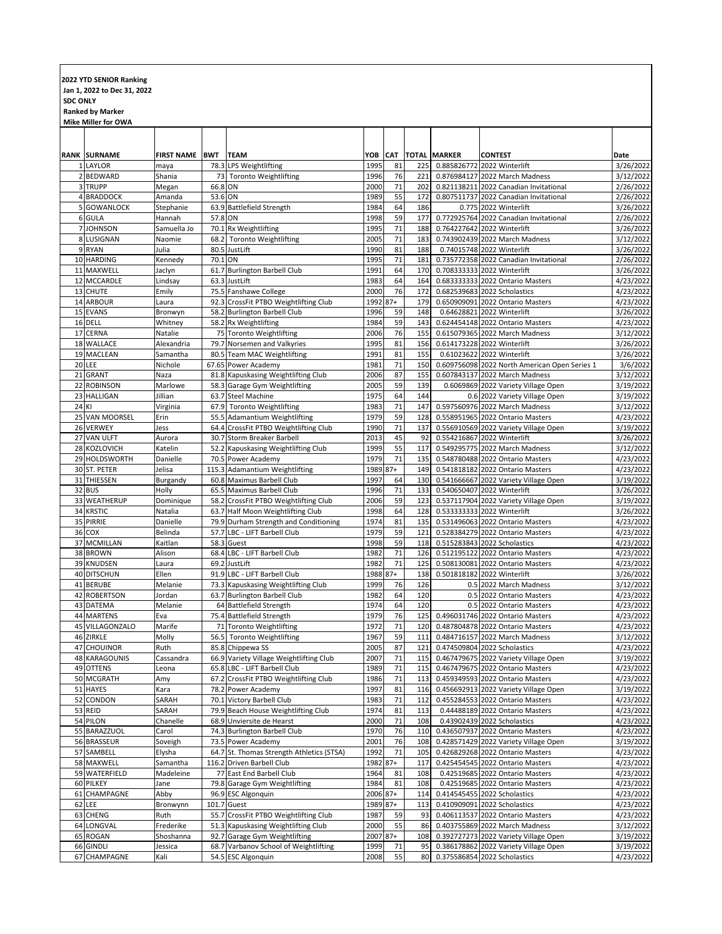## **2022 YTD SENIOR Ranking Jan 1, 2022 to Dec 31, 2022 SDC ONLY Ranked by Marker**

|    | Mike Miller for OWA             |                           |            |                                                                            |                  |                  |                     |               |                                                                       |                        |
|----|---------------------------------|---------------------------|------------|----------------------------------------------------------------------------|------------------|------------------|---------------------|---------------|-----------------------------------------------------------------------|------------------------|
|    |                                 |                           |            |                                                                            |                  |                  |                     |               |                                                                       |                        |
|    |                                 |                           |            |                                                                            |                  |                  |                     |               |                                                                       |                        |
|    | <b>RANK SURNAME</b><br>1 LAYLOR | <b>FIRST NAME</b><br>maya | <b>BWT</b> | <b>TEAM</b><br>78.3 LPS Weightlifting                                      | YOB<br>1995      | <b>CAT</b><br>81 | <b>TOTAL</b><br>225 | <b>MARKER</b> | <b>CONTEST</b><br>0.885826772 2022 Winterlift                         | Date<br>3/26/2022      |
|    | 2 BEDWARD                       | Shania                    | 73         | <b>Toronto Weightlifting</b>                                               | 1996             | 76               | 221                 |               | 0.876984127 2022 March Madness                                        | 3/12/2022              |
|    | 3 TRUPP                         | Megan                     | 66.8 ON    |                                                                            | 2000             | 71               | 202                 |               | 0.821138211 2022 Canadian Invitational                                | 2/26/2022              |
|    | 4 BRADDOCK                      | Amanda                    | 53.6       | ON                                                                         | 1989             | 55               | 172                 |               | 0.807511737 2022 Canadian Invitational                                | 2/26/2022              |
|    | 5 GOWANLOCK                     | Stephanie                 |            | 63.9 Battlefield Strength                                                  | 1984             | 64               | 186                 |               | 0.775 2022 Winterlift                                                 | 3/26/2022              |
|    | 6 GULA                          | Hannah                    | 57.8 ON    |                                                                            | 1998             | 59               | 177                 |               | 0.772925764 2022 Canadian Invitational                                | 2/26/2022              |
|    | 7 JOHNSON                       | Samuella Jo               |            | 70.1 Rx Weightlifting                                                      | 1995             | 71               | 188                 |               | 0.764227642 2022 Winterlift                                           | 3/26/2022              |
|    | 8 LUSIGNAN                      | Naomie                    |            | 68.2 Toronto Weightlifting                                                 | 2005             | 71               | 183                 |               | 0.743902439 2022 March Madness                                        | 3/12/2022              |
|    | 9 RYAN                          | Julia                     |            | 80.5 JustLift                                                              | 1990             | 81               | 188                 |               | 0.74015748 2022 Winterlift                                            | 3/26/2022              |
|    | 10 HARDING                      | Kennedy                   | 70.1 ON    |                                                                            | 1995<br>1991     | 71<br>64         | 181<br>170          |               | 0.735772358 2022 Canadian Invitational<br>0.708333333 2022 Winterlift | 2/26/2022<br>3/26/2022 |
|    | 11 MAXWELL<br>12 MCCARDLE       | Jaclyn<br>Lindsay         |            | 61.7 Burlington Barbell Club<br>63.3 JustLift                              | 1983             | 64               | 164                 |               | 0.683333333 2022 Ontario Masters                                      | 4/23/2022              |
|    | 13 CHUTE                        | Emily                     |            | 75.5 Fanshawe College                                                      | 2000             | 76               | 172                 |               | 0.682539683 2022 Scholastics                                          | 4/23/2022              |
|    | 14 ARBOUR                       | Laura                     |            | 92.3 CrossFit PTBO Weightlifting Club                                      | 1992             | $87+$            | 179                 |               | 0.650909091 2022 Ontario Masters                                      | 4/23/2022              |
|    | 15 EVANS                        | Bronwyn                   |            | 58.2 Burlington Barbell Club                                               | 1996             | 59               | 148                 |               | 0.64628821 2022 Winterlift                                            | 3/26/2022              |
| 16 | <b>DELL</b>                     | Whitney                   |            | 58.2 Rx Weightlifting                                                      | 1984             | 59               | 143                 |               | 0.624454148 2022 Ontario Masters                                      | 4/23/2022              |
|    | 17 CERNA                        | Natalie                   |            | 75 Toronto Weightlifting                                                   | 2006             | 76               | 155                 |               | 0.615079365 2022 March Madness                                        | 3/12/2022              |
|    | 18 WALLACE                      | Alexandria                |            | 79.7 Norsemen and Valkyries                                                | 1995             | 81               | 156                 |               | 0.614173228 2022 Winterlift                                           | 3/26/2022              |
|    | 19 MACLEAN                      | Samantha                  |            | 80.5 Team MAC Weightlifting                                                | 1991             | 81               | 155                 |               | 0.61023622 2022 Winterlift                                            | 3/26/2022              |
| 20 | LEE                             | Nichole                   |            | 67.65 Power Academy                                                        | 1981             | 71               | 150                 |               | 0.609756098 2022 North American Open Series 1                         | 3/6/2022               |
| 21 | <b>GRANT</b>                    | Naza                      |            | 81.8 Kapuskasing Weightlifting Club                                        | 2006             | 87               | 155                 |               | 0.607843137 2022 March Madness                                        | 3/12/2022              |
| 23 | 22 ROBINSON<br><b>HALLIGAN</b>  | Marlowe<br>Jillian        |            | 58.3 Garage Gym Weightlifting<br>63.7 Steel Machine                        | 2005<br>1975     | 59<br>64         | 139<br>144          |               | 0.6069869 2022 Variety Village Open<br>0.6 2022 Variety Village Open  | 3/19/2022<br>3/19/2022 |
| 24 | KI                              | Virginia                  |            | 67.9 Toronto Weightlifting                                                 | 1983             | 71               | 147                 |               | 0.597560976 2022 March Madness                                        | 3/12/2022              |
|    | 25 VAN MOORSEL                  | Erin                      |            | 55.5 Adamantium Weightlifting                                              | 1979             | 59               | 128                 |               | 0.558951965 2022 Ontario Masters                                      | 4/23/2022              |
|    | 26 VERWEY                       | Jess                      |            | 64.4 CrossFit PTBO Weightlifting Club                                      | 1990             | 71               | 137                 |               | 0.556910569 2022 Variety Village Open                                 | 3/19/2022              |
|    | 27 VAN ULFT                     | Aurora                    |            | 30.7 Storm Breaker Barbell                                                 | 2013             | 45               | 92                  |               | 0.554216867 2022 Winterlift                                           | 3/26/2022              |
| 28 | KOZLOVICH                       | Katelin                   |            | 52.2 Kapuskasing Weightlifting Club                                        | 1999             | 55               | 117                 |               | 0.549295775 2022 March Madness                                        | 3/12/2022              |
|    | 29 HOLDSWORTH                   | Danielle                  |            | 70.5 Power Academy                                                         | 1979             | 71               | 135                 |               | 0.548780488 2022 Ontario Masters                                      | 4/23/2022              |
|    | 30 ST. PETER                    | Jelisa                    |            | 115.3 Adamantium Weightlifting                                             | 1989 87+         |                  | 149                 |               | 0.541818182 2022 Ontario Masters                                      | 4/23/2022              |
|    | 31 THIESSEN                     | Burgandy                  |            | 60.8 Maximus Barbell Club                                                  | 1997             | 64               | 130                 |               | 0.541666667 2022 Variety Village Open                                 | 3/19/2022              |
|    | 32 BUS                          | Holly                     |            | 65.5 Maximus Barbell Club                                                  | 1996             | 71               | 133                 |               | 0.540650407 2022 Winterlift                                           | 3/26/2022              |
|    | 33 WEATHERUP                    | Dominique                 |            | 58.2 CrossFit PTBO Weightlifting Club                                      | 2006             | 59               | 123                 |               | 0.537117904 2022 Variety Village Open                                 | 3/19/2022              |
|    | 34 KRSTIC<br>35 PIRRIE          | Natalia<br>Danielle       |            | 63.7 Half Moon Weightlifting Club<br>79.9 Durham Strength and Conditioning | 1998<br>1974     | 64<br>81         | 128<br>135          |               | 0.533333333 2022 Winterlift<br>0.531496063 2022 Ontario Masters       | 3/26/2022<br>4/23/2022 |
| 36 | COX                             | Belinda                   |            | 57.7 LBC - LIFT Barbell Club                                               | 1979             | 59               | 121                 |               | 0.528384279 2022 Ontario Masters                                      | 4/23/2022              |
| 37 | <b>MCMILLAN</b>                 | Kaitlan                   |            | 58.3 Guest                                                                 | 1998             | 59               | 118                 |               | 0.515283843 2022 Scholastics                                          | 4/23/2022              |
|    | 38 BROWN                        | Alison                    | 68.4       | LBC - LIFT Barbell Club                                                    | 1982             | 71               | 126                 |               | 0.512195122 2022 Ontario Masters                                      | 4/23/2022              |
| 39 | KNUDSEN                         | Laura                     | 69.2       | JustLift                                                                   | 1982             | 71               | 125                 |               | 0.508130081 2022 Ontario Masters                                      | 4/23/2022              |
|    | 40 DITSCHUN                     | Ellen                     |            | 91.9 LBC - LIFT Barbell Club                                               | 1988 87+         |                  | 138                 |               | 0.501818182 2022 Winterlift                                           | 3/26/2022              |
| 41 | <b>BERUBE</b>                   | Melanie                   |            | 73.3 Kapuskasing Weightlifting Club                                        | 1999             | 76               | 126                 |               | 0.5 2022 March Madness                                                | 3/12/2022              |
| 42 | <b>ROBERTSON</b>                | Jordan                    |            | 63.7 Burlington Barbell Club                                               | 1982             | 64               | 120                 |               | 0.5 2022 Ontario Masters                                              | 4/23/2022              |
|    | 43 DATEMA                       | Melanie                   |            | 64 Battlefield Strength                                                    | 1974             | 64               | 120                 |               | 0.5 2022 Ontario Masters                                              | 4/23/2022              |
|    | 44 MARTENS                      | Eva                       |            | 75.4 Battlefield Strength                                                  | 1979             | 76               | 125                 |               | 0.496031746 2022 Ontario Masters                                      | 4/23/2022              |
| 45 | VILLAGONZALO<br>46 ZIRKLE       | Marife<br>Molly           |            | 71 Toronto Weightlifting<br>56.5 Toronto Weightlifting                     | 1972<br>1967     | 71<br>59         | 120<br>111          |               | 0.487804878 2022 Ontario Masters<br>0.484716157 2022 March Madness    | 4/23/2022<br>3/12/2022 |
|    | 47 CHOUINOR                     | Ruth                      |            | 85.8 Chippewa SS                                                           | 2005             | 87               | $121$               |               | 0.474509804 2022 Scholastics                                          | 4/23/2022              |
|    | 48 KARAGOUNIS                   | Cassandra                 |            | 66.9 Variety Village Weightlifting Club                                    | 2007             | 71               | 115                 |               | 0.467479675 2022 Variety Village Open                                 | 3/19/2022              |
|    | 49 OTTENS                       | Leona                     |            | 65.8 LBC - LIFT Barbell Club                                               | 1989             | 71               | 115                 |               | 0.467479675 2022 Ontario Masters                                      | 4/23/2022              |
|    | 50 MCGRATH                      | Amy                       |            | 67.2 CrossFit PTBO Weightlifting Club                                      | 1986             | 71               | 113                 |               | 0.459349593 2022 Ontario Masters                                      | 4/23/2022              |
|    | 51 HAYES                        | Kara                      |            | 78.2 Power Academy                                                         | 1997             | 81               | 116                 |               | 0.456692913 2022 Variety Village Open                                 | 3/19/2022              |
|    | 52 CONDON                       | SARAH                     |            | 70.1 Victory Barbell Club                                                  | 1983             | 71               | 112                 |               | 0.455284553 2022 Ontario Masters                                      | 4/23/2022              |
|    | 53 REID                         | SARAH                     |            | 79.9 Beach House Weightlifting Club                                        | 1974             | 81               | 113                 |               | 0.44488189 2022 Ontario Masters                                       | 4/23/2022              |
|    | 54 PILON                        | Chanelle                  |            | 68.9 Unviersite de Hearst                                                  | 2000             | 71               | 108                 |               | 0.43902439 2022 Scholastics                                           | 4/23/2022              |
|    | 55 BARAZZUOL                    | Carol                     |            | 74.3 Burlington Barbell Club                                               | 1970             | 76<br>76         | 110                 |               | 0.436507937 2022 Ontario Masters                                      | 4/23/2022              |
|    | 56 BRASSEUR                     | Soveigh                   |            | 73.5 Power Academy                                                         | 2001             | 71               | 108                 |               | 0.428571429 2022 Variety Village Open                                 | 3/19/2022              |
|    | 57 SAMBELL<br>58 MAXWELL        | Elysha<br>Samantha        |            | 64.7 St. Thomas Strength Athletics (STSA)<br>116.2 Driven Barbell Club     | 1992<br>1982 87+ |                  | 105<br>117          |               | 0.426829268 2022 Ontario Masters<br>0.425454545 2022 Ontario Masters  | 4/23/2022<br>4/23/2022 |
|    | 59 WATERFIELD                   | Madeleine                 |            | 77 East End Barbell Club                                                   | 1964             | 81               | 108                 |               | 0.42519685 2022 Ontario Masters                                       | 4/23/2022              |
|    | 60 PILKEY                       | Jane                      |            | 79.8 Garage Gym Weightlifting                                              | 1984             | 81               | 108                 |               | 0.42519685 2022 Ontario Masters                                       | 4/23/2022              |
|    | 61 CHAMPAGNE                    | Abby                      |            | 96.9 ESC Algonquin                                                         | 2006 87+         |                  | 114                 |               | 0.414545455 2022 Scholastics                                          | 4/23/2022              |
|    | 62 LEE                          | Bronwynn                  |            | 101.7 Guest                                                                | 1989 87+         |                  | 113                 |               | 0.410909091 2022 Scholastics                                          | 4/23/2022              |
|    | 63 CHENG                        | Ruth                      |            | 55.7 CrossFit PTBO Weightlifting Club                                      | 1987             | 59               | 93                  |               | 0.406113537 2022 Ontario Masters                                      | 4/23/2022              |
|    | 64 LONGVAL                      | Frederike                 |            | 51.3 Kapuskasing Weightlifting Club                                        | 2000             | 55               | 86                  |               | 0.403755869 2022 March Madness                                        | 3/12/2022              |
|    | 65 ROGAN                        | Shoshanna                 |            | 92.7 Garage Gym Weightlifting                                              | 2007 87+         |                  | 108                 |               | 0.392727273 2022 Variety Village Open                                 | 3/19/2022              |
| 66 | <b>GINDLI</b>                   | Jessica                   | 68.7       | Varbanov School of Weightlifting                                           | 1999             | 71               | 95                  |               | 0.386178862 2022 Variety Village Open                                 | 3/19/2022              |
| 67 | CHAMPAGNE                       | Kali                      |            | 54.5 ESC Algonquin                                                         | 2008             | 55               | 80                  |               | 0.375586854 2022 Scholastics                                          | 4/23/2022              |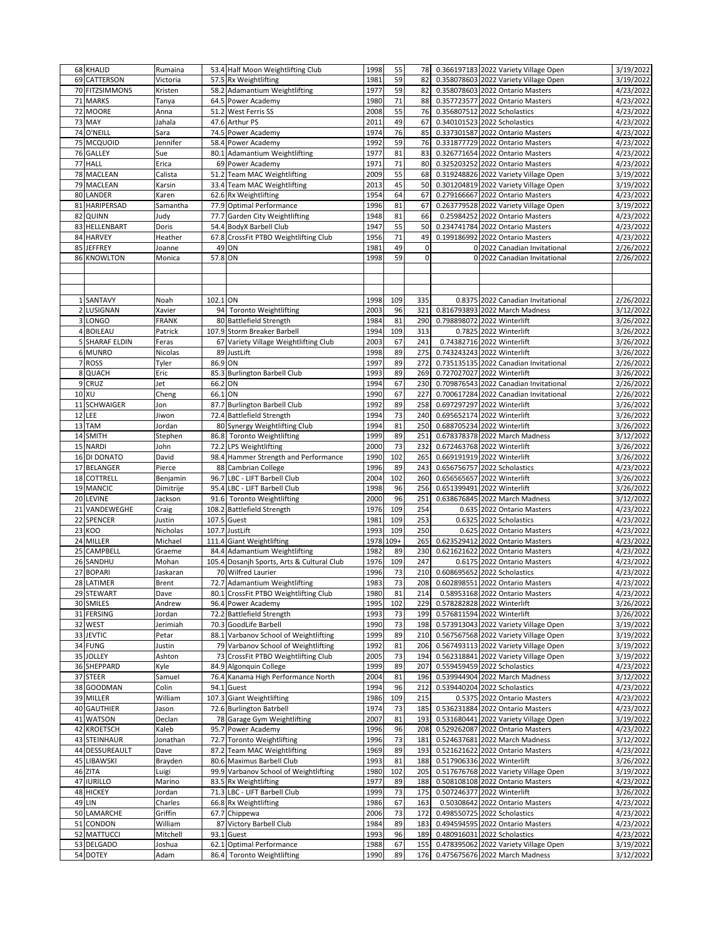|    | 68 KHALID              | Rumaina        |         | 53.4 Half Moon Weightlifting Club                      | 1998         | 55       | 78           |             | 0.366197183 2022 Variety Village Open                                   | 3/19/2022              |
|----|------------------------|----------------|---------|--------------------------------------------------------|--------------|----------|--------------|-------------|-------------------------------------------------------------------------|------------------------|
| 69 | <b>CATTERSON</b>       | Victoria       |         | 57.5 Rx Weightlifting                                  | 1981         | 59       | 82           |             | 0.358078603 2022 Variety Village Open                                   | 3/19/2022              |
| 70 | <b>FITZSIMMONS</b>     | Kristen        |         | 58.2 Adamantium Weightlifting                          | 1977         | 59       | 82           |             | 0.358078603 2022 Ontario Masters                                        | 4/23/2022              |
| 71 | <b>MARKS</b>           | Tanya          |         | 64.5 Power Academy                                     | 1980         | 71       | 88           |             | 0.357723577 2022 Ontario Masters                                        | 4/23/2022              |
|    |                        |                |         |                                                        |              | 55       |              |             |                                                                         |                        |
| 72 | <b>MOORE</b>           | Anna           |         | 51.2 West Ferris SS                                    | 2008         |          | 76           |             | 0.356807512 2022 Scholastics                                            | 4/23/2022              |
| 73 | MAY                    | Jahala         |         | 47.6 Arthur PS                                         | 2011         | 49       | 67           |             | 0.340101523 2022 Scholastics                                            | 4/23/2022              |
| 74 | O'NEILL                | Sara           |         | 74.5 Power Academy                                     | 1974         | 76       | 85           |             | 0.337301587 2022 Ontario Masters                                        | 4/23/2022              |
| 75 | <b>MCQUOID</b>         | Jennifer       |         | 58.4 Power Academy                                     | 1992         | 59       | 76           |             | 0.331877729 2022 Ontario Masters                                        | 4/23/2022              |
| 76 | <b>GALLEY</b>          | Sue            | 80.1    | Adamantium Weightlifting                               | 1977         | 81       | 83           |             | 0.326771654 2022 Ontario Masters                                        | 4/23/2022              |
| 77 | <b>HALL</b>            | Erica          |         | 69 Power Academy                                       | 1971         | 71       | 80           |             | 0.325203252 2022 Ontario Masters                                        | 4/23/2022              |
|    | 78 MACLEAN             | Calista        |         | 51.2 Team MAC Weightlifting                            | 2009         | 55       | 68           |             | 0.319248826 2022 Variety Village Open                                   | 3/19/2022              |
| 79 | <b>MACLEAN</b>         | Karsin         |         | 33.4 Team MAC Weightlifting                            | 2013         | 45       | 50           |             | 0.301204819 2022 Variety Village Open                                   | 3/19/2022              |
| 80 | LANDER                 | Karen          |         | 62.6 Rx Weightlifting                                  | 1954         | 64       | 67           |             | 0.279166667 2022 Ontario Masters                                        | 4/23/2022              |
|    |                        |                |         | 77.9 Optimal Performance                               |              |          |              |             |                                                                         |                        |
| 81 | <b>HARIPERSAD</b>      | Samantha       |         |                                                        | 1996         | 81       | 67           |             | 0.263779528 2022 Variety Village Open                                   | 3/19/2022              |
| 82 | QUINN                  | Judy           |         | 77.7 Garden City Weightlifting                         | 1948         | 81       | 66           |             | 0.25984252 2022 Ontario Masters                                         | 4/23/2022              |
| 83 | HELLENBART             | Doris          |         | 54.4 BodyX Barbell Club                                | 1947         | 55       | 50           | 0.234741784 | 2022 Ontario Masters                                                    | 4/23/2022              |
| 84 | <b>HARVEY</b>          | Heather        |         | 67.8 CrossFit PTBO Weightlifting Club                  | 1956         | 71       | 49           |             | 0.199186992 2022 Ontario Masters                                        | 4/23/2022              |
| 85 | <b>JEFFREY</b>         | Joanne         |         | 49 ON                                                  | 1981         | 49       | $\mathbf 0$  |             | 0 2022 Canadian Invitational                                            | 2/26/2022              |
|    | 86 KNOWLTON            | Monica         | 57.8 ON |                                                        | 1998         | 59       | $\mathbf{0}$ |             | 0 2022 Canadian Invitational                                            | 2/26/2022              |
|    |                        |                |         |                                                        |              |          |              |             |                                                                         |                        |
|    |                        |                |         |                                                        |              |          |              |             |                                                                         |                        |
|    |                        |                |         |                                                        |              |          |              |             |                                                                         |                        |
|    |                        |                |         |                                                        |              |          |              |             |                                                                         |                        |
|    | 1 SANTAVY              | Noah           | 102.1   | ON                                                     | 1998         | 109      | 335          |             | 0.8375 2022 Canadian Invitational                                       | 2/26/2022              |
| 2  | LUSIGNAN               | Xavier         | 94      | <b>Toronto Weightlifting</b>                           | 2003         | 96       | 321          |             | 0.816793893 2022 March Madness                                          | 3/12/2022              |
| 3  | LONGO                  | <b>FRANK</b>   | 80      | <b>Battlefield Strength</b>                            | 1984         | 81       | 290          |             | 0.798898072 2022 Winterlift                                             | 3/26/2022              |
|    | 4 BOILEAU              | Patrick        |         | 107.9 Storm Breaker Barbell                            | 1994         | 109      | 313          |             | 0.7825 2022 Winterlift                                                  | 3/26/2022              |
| 5  | <b>SHARAF ELDIN</b>    | Feras          | 67      | Variety Village Weightlifting Club                     | 2003         | 67       | 241          |             | 0.74382716 2022 Winterlift                                              | 3/26/2022              |
|    | 6 MUNRO                | Nicolas        | 89      | JustLift                                               | 1998         | 89       | 275          | 0.743243243 | 2022 Winterlift                                                         | 3/26/2022              |
|    | 7 ROSS                 | Tyler          | 86.9    | ON                                                     | 1997         | 89       | 272          |             | 0.735135135 2022 Canadian Invitational                                  | 2/26/2022              |
| 8  | QUACH                  | Eric           |         | 85.3 Burlington Barbell Club                           | 1993         | 89       | 269          |             | 0.727027027 2022 Winterlift                                             | 3/26/2022              |
| 9  | CRUZ                   | Jet            | 66.2    | ON                                                     | 1994         | 67       | 230          |             | 0.709876543 2022 Canadian Invitational                                  | 2/26/2022              |
|    |                        |                |         |                                                        |              |          |              |             |                                                                         |                        |
| 10 | XU                     | Cheng          | 66.1    | ON                                                     | 1990         | 67       | 227          |             | 0.700617284 2022 Canadian Invitational                                  | 2/26/2022              |
| 11 | <b>SCHWAIGER</b>       | Jon            |         | 87.7 Burlington Barbell Club                           | 1992         | 89       | 258          |             | 0.697297297 2022 Winterlift                                             | 3/26/2022              |
| 12 | LEE                    | Jiwon          |         | 72.4 Battlefield Strength                              | 1994         | 73       | 240          |             | 0.695652174 2022 Winterlift                                             | 3/26/2022              |
| 13 | <b>TAM</b>             | Jordan         |         | 80 Synergy Weightlifting Club                          | 1994         | 81       | 250          |             | 0.688705234 2022 Winterlift                                             | 3/26/2022              |
| 14 | <b>SMITH</b>           | Stephen        | 86.8    | <b>Toronto Weightlifting</b>                           | 1999         | 89       | 251          |             | 0.678378378 2022 March Madness                                          | 3/12/2022              |
| 15 | <b>NARDI</b>           | John           |         | 72.2 LPS Weightlifting                                 | 2000         | 73       | 232          |             | 0.672463768 2022 Winterlift                                             | 3/26/2022              |
|    | 16 DI DONATO           | David          |         | 98.4 Hammer Strength and Performance                   | 1990         | 102      | 265          |             | 0.669191919 2022 Winterlift                                             | 3/26/2022              |
|    | 17 BELANGER            | Pierce         | 88      | Cambrian College                                       | 1996         | 89       | 243          | 0.656756757 | 2022 Scholastics                                                        | 4/23/2022              |
| 18 | <b>COTTRELL</b>        | Benjamin       | 96.7    | LBC - LIFT Barbell Club                                | 2004         | 102      | 260          | 0.656565657 | 2022 Winterlift                                                         | 3/26/2022              |
|    |                        |                |         |                                                        |              | 96       |              |             |                                                                         |                        |
| 19 | <b>MANCIC</b>          | Dimitrije      |         | 95.4 LBC - LIFT Barbell Club                           | 1998         |          | 256          | 0.651399491 | 2022 Winterlift                                                         | 3/26/2022              |
| 20 | LEVINE                 | Jackson        | 91.6    | <b>Toronto Weightlifting</b>                           | 2000         | 96       | 251          |             | 0.638676845 2022 March Madness                                          | 3/12/2022              |
| 21 | VANDEWEGHE             | Craig          |         | 108.2 Battlefield Strength                             | 1976         | 109      | 254          |             | 0.635 2022 Ontario Masters                                              | 4/23/2022              |
| 22 | SPENCER                | Justin         |         | 107.5 Guest                                            | 1981         | 109      | 253          |             | 0.6325 2022 Scholastics                                                 | 4/23/2022              |
|    | 23 KOO                 | Nicholas       |         | 107.7 JustLift                                         | 1993         | 109      | 250          | 0.625       | 2022 Ontario Masters                                                    | 4/23/2022              |
|    | 24 MILLER              | Michael        |         | 111.4 Giant Weightlifting                              | 1978         | $109+$   | 265          | 0.623529412 | 2022 Ontario Masters                                                    | 4/23/2022              |
| 25 | CAMPBELL               | Graeme         |         | 84.4 Adamantium Weightlifting                          | 1982         | 89       | 230          | 0.621621622 | 2022 Ontario Masters                                                    | 4/23/2022              |
|    | 26 SANDHU              | Mohan          |         | 105.4 Dosanjh Sports, Arts & Cultural Club             | 1976         | 109      | 247          |             | 0.6175 2022 Ontario Masters                                             | 4/23/2022              |
| 27 | <b>BOPARI</b>          | Jaskaran       | 70      | <b>Wilfred Laurier</b>                                 | 1996         | 73       | 210          |             | 0.608695652 2022 Scholastics                                            | 4/23/2022              |
|    |                        |                |         |                                                        | 1983         |          |              |             |                                                                         |                        |
| 28 | LATIMER                | Brent          |         | 72.7 Adamantium Weightlifting                          |              | 73       | 208          |             | 0.602898551 2022 Ontario Masters                                        | 4/23/2022              |
|    | 29 STEWART             | Dave           |         | 80.1 CrossFit PTBO Weightlifting Club                  | 1980         | 81       | 214          |             | 0.58953168 2022 Ontario Masters                                         | 4/23/2022              |
|    | 30 SMILES              | Andrew         |         | 96.4 Power Academy                                     | 1995         | 102      | 229          |             | 0.578282828 2022 Winterlift                                             | 3/26/2022              |
|    | 31 FERSING             | Jordan         |         | 72.2 Battlefield Strength                              | 1993         | 73       | 199          |             | 0.576811594 2022 Winterlift                                             | 3/26/2022              |
|    | 32 WEST                | Jerimiah       |         | 70.3 GoodLife Barbell                                  | 1990         | 73       | 198          |             | 0.573913043 2022 Variety Village Open                                   | 3/19/2022              |
|    | 33 JEVTIC              | Petar          |         | 88.1 Varbanov School of Weightlifting                  | 1999         | 89       | 210          |             | 0.567567568 2022 Variety Village Open                                   | 3/19/2022              |
|    | 34 FUNG                | Justin         |         | 79 Varbanov School of Weightlifting                    | 1992         | 81       | 206          |             | 0.567493113 2022 Variety Village Open                                   | 3/19/2022              |
|    | 35 JOLLEY              | Ashton         |         | 73 CrossFit PTBO Weightlifting Club                    | 2005         | 73       | 194          |             | 0.562318841 2022 Variety Village Open                                   | 3/19/2022              |
|    | 36 SHEPPARD            | Kyle           |         | 84.9 Algonquin College                                 | 1999         | 89       |              |             | 0.559459459 2022 Scholastics                                            | 4/23/2022              |
|    |                        |                |         |                                                        |              |          | 207          |             |                                                                         |                        |
|    | 37 STEER               | Samuel         |         | 76.4 Kanama High Performance North                     | 2004         | 81       | 196          |             | 0.539944904 2022 March Madness                                          | 3/12/2022              |
| 38 | <b>GOODMAN</b>         | Colin          |         | 94.1 Guest                                             | 1994         | 96       | 212          |             | 0.539440204 2022 Scholastics                                            | 4/23/2022              |
|    | 39 MILLER              | William        |         | 107.3 Giant Weightlifting                              | 1986         | 109      | 215          |             | 0.5375 2022 Ontario Masters                                             | $\frac{1}{4/23/2022}$  |
|    |                        |                |         |                                                        |              | 73       |              |             | 0.536231884 2022 Ontario Masters                                        | 4/23/2022              |
|    | 40 GAUTHIER            | Jason          |         | 72.6 Burlington Batrbell                               | 1974         |          | 185          |             |                                                                         |                        |
|    | 41 WATSON              | Declan         |         | 78 Garage Gym Weightlifting                            | 2007         | 81       | 193          |             | 0.531680441 2022 Variety Village Open                                   | 3/19/2022              |
|    |                        |                |         |                                                        |              |          | 208          |             | 0.529262087 2022 Ontario Masters                                        |                        |
|    | 42 KROETSCH            | Kaleb          |         | 95.7 Power Academy                                     | 1996         | 96       |              |             |                                                                         | 4/23/2022              |
| 43 | <b>STEINHAUR</b>       | Jonathan       |         | 72.7 Toronto Weightlifting                             | 1996         | 73       | 181          |             | 0.524637681 2022 March Madness                                          | 3/12/2022              |
|    | 44 DESSUREAULT         | Dave           |         | 87.2 Team MAC Weightlifting                            | 1969         | 89       | 193          |             | 0.521621622 2022 Ontario Masters                                        | 4/23/2022              |
|    | 45 LIBAWSKI            | Brayden        |         | 80.6 Maximus Barbell Club                              | 1993         | 81       | 188          |             | 0.517906336 2022 Winterlift                                             | 3/26/2022              |
|    | 46 ZITA                | Luigi          |         | 99.9 Varbanov School of Weightlifting                  | 1980         | 102      | 205          |             | 0.517676768 2022 Variety Village Open                                   | 3/19/2022              |
|    | 47 IURILLO             | Marino         |         | 83.5 Rx Weightlifting                                  | 1977         | 89       | 188          |             | 0.508108108 2022 Ontario Masters                                        | 4/23/2022              |
|    | 48 HICKEY              | Jordan         |         | 71.3 LBC - LIFT Barbell Club                           | 1999         | 73       | 175          |             | 0.507246377 2022 Winterlift                                             | 3/26/2022              |
|    | 49 LIN                 | Charles        |         | 66.8 Rx Weightlifting                                  | 1986         | 67       | 163          |             | 0.50308642 2022 Ontario Masters                                         | 4/23/2022              |
|    | 50 LAMARCHE            | Griffin        |         | 67.7 Chippewa                                          | 2006         | 73       | 172          |             | 0.498550725 2022 Scholastics                                            | 4/23/2022              |
|    |                        |                |         |                                                        |              |          |              |             |                                                                         |                        |
|    | 51 CONDON              | William        |         | 87 Victory Barbell Club                                | 1984         | 89       | 183          |             | 0.494594595 2022 Ontario Masters                                        | 4/23/2022              |
|    | 52 MATTUCCI            | Mitchell       |         | 93.1 Guest                                             | 1993         | 96       | 189          |             | 0.480916031 2022 Scholastics                                            | 4/23/2022              |
|    | 53 DELGADO<br>54 DOTEY | Joshua<br>Adam |         | 62.1 Optimal Performance<br>86.4 Toronto Weightlifting | 1988<br>1990 | 67<br>89 | 155<br>176   |             | 0.478395062 2022 Variety Village Open<br>0.475675676 2022 March Madness | 3/19/2022<br>3/12/2022 |